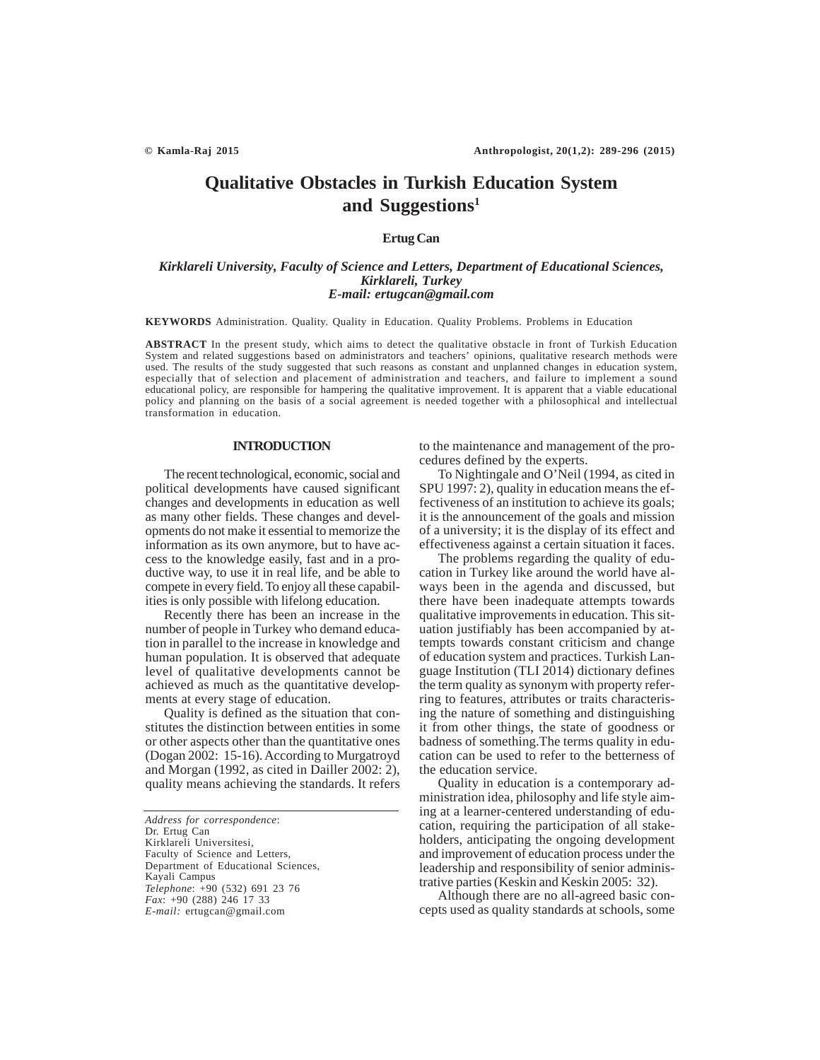# **Qualitative Obstacles in Turkish Education System and Suggestions1**

# **Ertug Can**

# *Kirklareli University, Faculty of Science and Letters, Department of Educational Sciences, Kirklareli, Turkey E-mail: ertugcan@gmail.com*

**KEYWORDS** Administration. Quality. Quality in Education. Quality Problems. Problems in Education

**ABSTRACT** In the present study, which aims to detect the qualitative obstacle in front of Turkish Education System and related suggestions based on administrators and teachers' opinions, qualitative research methods were used. The results of the study suggested that such reasons as constant and unplanned changes in education system, especially that of selection and placement of administration and teachers, and failure to implement a sound educational policy, are responsible for hampering the qualitative improvement. It is apparent that a viable educational policy and planning on the basis of a social agreement is needed together with a philosophical and intellectual transformation in education.

# **INTRODUCTION**

The recent technological, economic, social and political developments have caused significant changes and developments in education as well as many other fields. These changes and developments do not make it essential to memorize the information as its own anymore, but to have access to the knowledge easily, fast and in a productive way, to use it in real life, and be able to compete in every field. To enjoy all these capabilities is only possible with lifelong education.

Recently there has been an increase in the number of people in Turkey who demand education in parallel to the increase in knowledge and human population. It is observed that adequate level of qualitative developments cannot be achieved as much as the quantitative developments at every stage of education.

Quality is defined as the situation that constitutes the distinction between entities in some or other aspects other than the quantitative ones (Dogan 2002: 15-16). According to Murgatroyd and Morgan (1992, as cited in Dailler 2002: 2), quality means achieving the standards. It refers

*Address for correspondence*: Dr. Ertug Can Kirklareli Universitesi, Faculty of Science and Letters, Department of Educational Sciences, Kayali Campus *Telephone*: +90 (532) 691 23 76 *Fax*: +90 (288) 246 17 33 *E-mail:* ertugcan@gmail.com

to the maintenance and management of the procedures defined by the experts.

To Nightingale and O'Neil (1994, as cited in SPU 1997: 2), quality in education means the effectiveness of an institution to achieve its goals; it is the announcement of the goals and mission of a university; it is the display of its effect and effectiveness against a certain situation it faces.

The problems regarding the quality of education in Turkey like around the world have always been in the agenda and discussed, but there have been inadequate attempts towards qualitative improvements in education. This situation justifiably has been accompanied by attempts towards constant criticism and change of education system and practices. Turkish Language Institution (TLI 2014) dictionary defines the term quality as synonym with property referring to features, attributes or traits characterising the nature of something and distinguishing it from other things, the state of goodness or badness of something.The terms quality in education can be used to refer to the betterness of the education service.

Quality in education is a contemporary administration idea, philosophy and life style aiming at a learner-centered understanding of education, requiring the participation of all stakeholders, anticipating the ongoing development and improvement of education process under the leadership and responsibility of senior administrative parties (Keskin and Keskin 2005: 32).

Although there are no all-agreed basic concepts used as quality standards at schools, some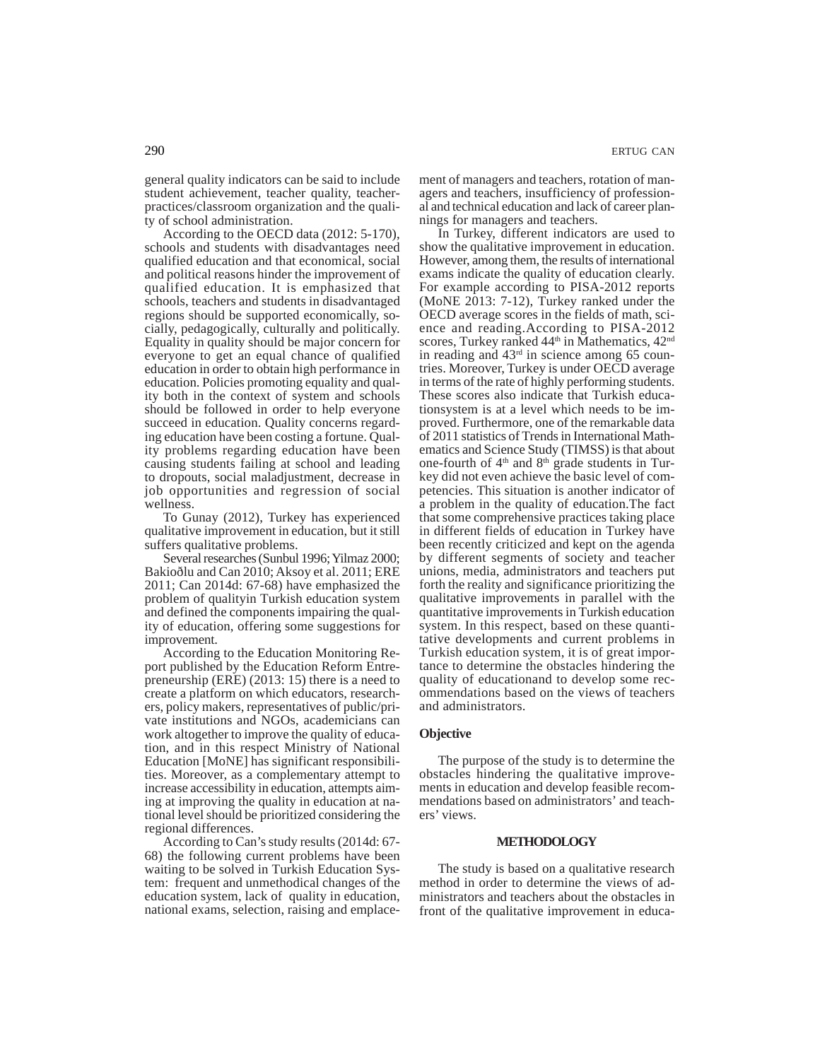general quality indicators can be said to include student achievement, teacher quality, teacherpractices/classroom organization and the quality of school administration.

According to the OECD data (2012: 5-170), schools and students with disadvantages need qualified education and that economical, social and political reasons hinder the improvement of qualified education. It is emphasized that schools, teachers and students in disadvantaged regions should be supported economically, socially, pedagogically, culturally and politically. Equality in quality should be major concern for everyone to get an equal chance of qualified education in order to obtain high performance in education. Policies promoting equality and quality both in the context of system and schools should be followed in order to help everyone succeed in education. Quality concerns regarding education have been costing a fortune. Quality problems regarding education have been causing students failing at school and leading to dropouts, social maladjustment, decrease in job opportunities and regression of social wellness.

To Gunay (2012), Turkey has experienced qualitative improvement in education, but it still suffers qualitative problems.

Several researches (Sunbul 1996; Yilmaz 2000; Bakioðlu and Can 2010; Aksoy et al. 2011; ERE 2011; Can 2014d: 67-68) have emphasized the problem of qualityin Turkish education system and defined the components impairing the quality of education, offering some suggestions for improvement.

According to the Education Monitoring Report published by the Education Reform Entrepreneurship (ERE) (2013: 15) there is a need to create a platform on which educators, researchers, policy makers, representatives of public/private institutions and NGOs, academicians can work altogether to improve the quality of education, and in this respect Ministry of National Education [MoNE] has significant responsibilities. Moreover, as a complementary attempt to increase accessibility in education, attempts aiming at improving the quality in education at national level should be prioritized considering the regional differences.

According to Can's study results (2014d: 67- 68) the following current problems have been waiting to be solved in Turkish Education System: frequent and unmethodical changes of the education system, lack of quality in education, national exams, selection, raising and emplacement of managers and teachers, rotation of managers and teachers, insufficiency of professional and technical education and lack of career plannings for managers and teachers.

In Turkey, different indicators are used to show the qualitative improvement in education. However, among them, the results of international exams indicate the quality of education clearly. For example according to PISA-2012 reports (MoNE 2013: 7-12), Turkey ranked under the OECD average scores in the fields of math, science and reading.According to PISA-2012 scores, Turkey ranked 44<sup>th</sup> in Mathematics, 42<sup>nd</sup> in reading and  $43<sup>rd</sup>$  in science among 65 countries. Moreover, Turkey is under OECD average in terms of the rate of highly performing students. These scores also indicate that Turkish educationsystem is at a level which needs to be improved. Furthermore, one of the remarkable data of 2011 statistics of Trends in International Mathematics and Science Study (TIMSS) is that about one-fourth of  $4<sup>th</sup>$  and  $8<sup>th</sup>$  grade students in Turkey did not even achieve the basic level of competencies. This situation is another indicator of a problem in the quality of education.The fact that some comprehensive practices taking place in different fields of education in Turkey have been recently criticized and kept on the agenda by different segments of society and teacher unions, media, administrators and teachers put forth the reality and significance prioritizing the qualitative improvements in parallel with the quantitative improvements in Turkish education system. In this respect, based on these quantitative developments and current problems in Turkish education system, it is of great importance to determine the obstacles hindering the quality of educationand to develop some recommendations based on the views of teachers and administrators.

#### **Objective**

The purpose of the study is to determine the obstacles hindering the qualitative improvements in education and develop feasible recommendations based on administrators' and teachers' views.

#### **METHODOLOGY**

The study is based on a qualitative research method in order to determine the views of administrators and teachers about the obstacles in front of the qualitative improvement in educa-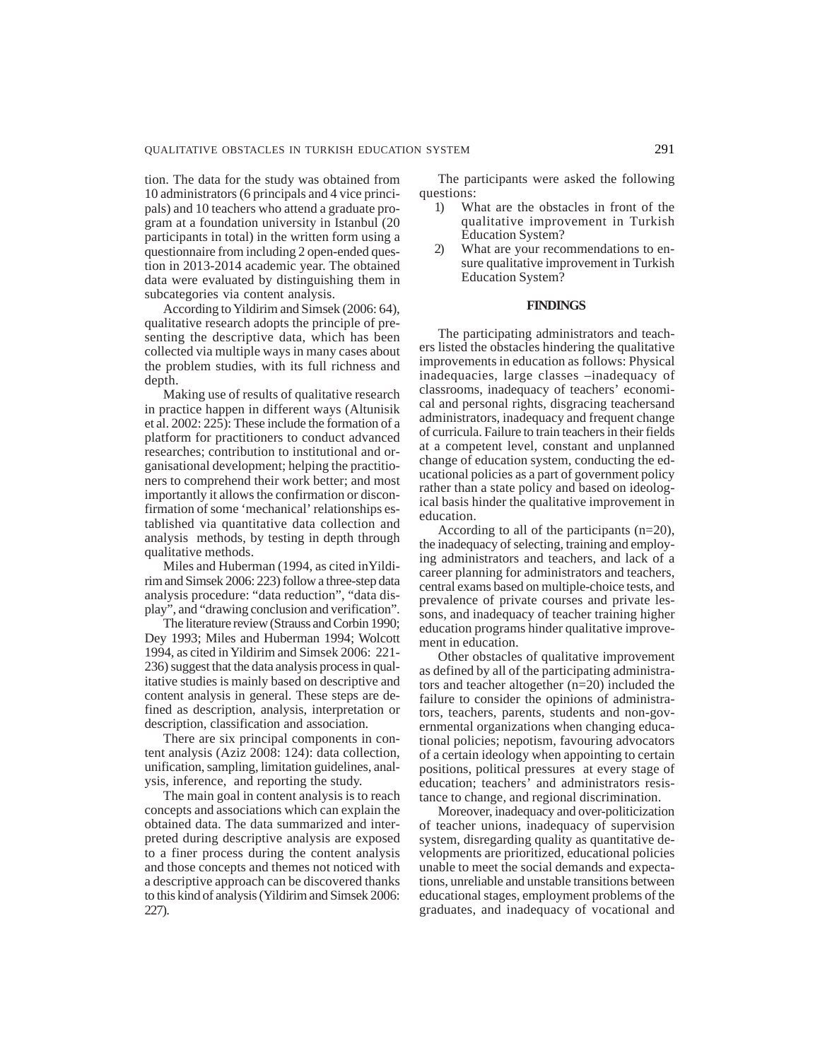tion. The data for the study was obtained from 10 administrators (6 principals and 4 vice principals) and 10 teachers who attend a graduate program at a foundation university in Istanbul (20 participants in total) in the written form using a questionnaire from including 2 open-ended question in 2013-2014 academic year. The obtained data were evaluated by distinguishing them in subcategories via content analysis.

According to Yildirim and Simsek (2006: 64), qualitative research adopts the principle of presenting the descriptive data, which has been collected via multiple ways in many cases about the problem studies, with its full richness and depth.

Making use of results of qualitative research in practice happen in different ways (Altunisik et al. 2002: 225): These include the formation of a platform for practitioners to conduct advanced researches; contribution to institutional and organisational development; helping the practitioners to comprehend their work better; and most importantly it allows the confirmation or disconfirmation of some 'mechanical' relationships established via quantitative data collection and analysis methods, by testing in depth through qualitative methods.

Miles and Huberman (1994, as cited inYildirim and Simsek 2006: 223) follow a three-step data analysis procedure: "data reduction", "data display", and "drawing conclusion and verification".

The literature review (Strauss and Corbin 1990; Dey 1993; Miles and Huberman 1994; Wolcott 1994, as cited in Yildirim and Simsek 2006: 221- 236) suggest that the data analysis process in qualitative studies is mainly based on descriptive and content analysis in general. These steps are defined as description, analysis, interpretation or description, classification and association.

There are six principal components in content analysis (Aziz 2008: 124): data collection, unification, sampling, limitation guidelines, analysis, inference, and reporting the study.

The main goal in content analysis is to reach concepts and associations which can explain the obtained data. The data summarized and interpreted during descriptive analysis are exposed to a finer process during the content analysis and those concepts and themes not noticed with a descriptive approach can be discovered thanks to this kind of analysis (Yildirim and Simsek 2006: 227).

The participants were asked the following questions:

- 1) What are the obstacles in front of the qualitative improvement in Turkish Education System?
- 2) What are your recommendations to ensure qualitative improvement in Turkish Education System?

#### **FINDINGS**

The participating administrators and teachers listed the obstacles hindering the qualitative improvements in education as follows: Physical inadequacies, large classes –inadequacy of classrooms, inadequacy of teachers' economical and personal rights, disgracing teachersand administrators, inadequacy and frequent change of curricula. Failure to train teachers in their fields at a competent level, constant and unplanned change of education system, conducting the educational policies as a part of government policy rather than a state policy and based on ideological basis hinder the qualitative improvement in education.

According to all of the participants (n=20), the inadequacy of selecting, training and employing administrators and teachers, and lack of a career planning for administrators and teachers, central exams based on multiple-choice tests, and prevalence of private courses and private lessons, and inadequacy of teacher training higher education programs hinder qualitative improvement in education.

Other obstacles of qualitative improvement as defined by all of the participating administrators and teacher altogether (n=20) included the failure to consider the opinions of administrators, teachers, parents, students and non-governmental organizations when changing educational policies; nepotism, favouring advocators of a certain ideology when appointing to certain positions, political pressures at every stage of education; teachers' and administrators resistance to change, and regional discrimination.

Moreover, inadequacy and over-politicization of teacher unions, inadequacy of supervision system, disregarding quality as quantitative developments are prioritized, educational policies unable to meet the social demands and expectations, unreliable and unstable transitions between educational stages, employment problems of the graduates, and inadequacy of vocational and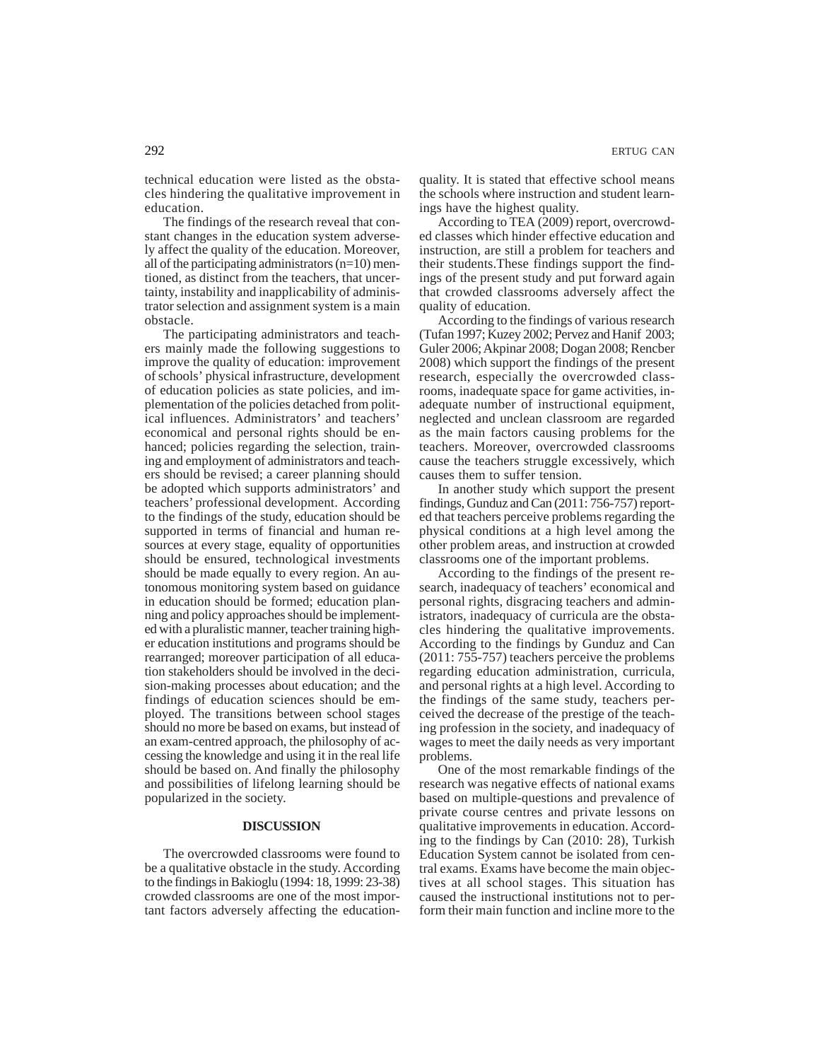technical education were listed as the obstacles hindering the qualitative improvement in education.

The findings of the research reveal that constant changes in the education system adversely affect the quality of the education. Moreover, all of the participating administrators (n=10) mentioned, as distinct from the teachers, that uncertainty, instability and inapplicability of administrator selection and assignment system is a main obstacle.

The participating administrators and teachers mainly made the following suggestions to improve the quality of education: improvement of schools' physical infrastructure, development of education policies as state policies, and implementation of the policies detached from political influences. Administrators' and teachers' economical and personal rights should be enhanced; policies regarding the selection, training and employment of administrators and teachers should be revised; a career planning should be adopted which supports administrators' and teachers' professional development. According to the findings of the study, education should be supported in terms of financial and human resources at every stage, equality of opportunities should be ensured, technological investments should be made equally to every region. An autonomous monitoring system based on guidance in education should be formed; education planning and policy approaches should be implemented with a pluralistic manner, teacher training higher education institutions and programs should be rearranged; moreover participation of all education stakeholders should be involved in the decision-making processes about education; and the findings of education sciences should be employed. The transitions between school stages should no more be based on exams, but instead of an exam-centred approach, the philosophy of accessing the knowledge and using it in the real life should be based on. And finally the philosophy and possibilities of lifelong learning should be popularized in the society.

# **DISCUSSION**

The overcrowded classrooms were found to be a qualitative obstacle in the study. According to the findings in Bakioglu (1994: 18, 1999: 23-38) crowded classrooms are one of the most important factors adversely affecting the educationquality. It is stated that effective school means the schools where instruction and student learnings have the highest quality.

According to TEA (2009) report, overcrowded classes which hinder effective education and instruction, are still a problem for teachers and their students.These findings support the findings of the present study and put forward again that crowded classrooms adversely affect the quality of education.

According to the findings of various research (Tufan 1997; Kuzey 2002; Pervez and Hanif 2003; Guler 2006; Akpinar 2008; Dogan 2008; Rencber 2008) which support the findings of the present research, especially the overcrowded classrooms, inadequate space for game activities, inadequate number of instructional equipment, neglected and unclean classroom are regarded as the main factors causing problems for the teachers. Moreover, overcrowded classrooms cause the teachers struggle excessively, which causes them to suffer tension.

In another study which support the present findings, Gunduz and Can (2011: 756-757) reported that teachers perceive problems regarding the physical conditions at a high level among the other problem areas, and instruction at crowded classrooms one of the important problems.

According to the findings of the present research, inadequacy of teachers' economical and personal rights, disgracing teachers and administrators, inadequacy of curricula are the obstacles hindering the qualitative improvements. According to the findings by Gunduz and Can (2011: 755-757) teachers perceive the problems regarding education administration, curricula, and personal rights at a high level. According to the findings of the same study, teachers perceived the decrease of the prestige of the teaching profession in the society, and inadequacy of wages to meet the daily needs as very important problems.

One of the most remarkable findings of the research was negative effects of national exams based on multiple-questions and prevalence of private course centres and private lessons on qualitative improvements in education. According to the findings by Can (2010: 28), Turkish Education System cannot be isolated from central exams. Exams have become the main objectives at all school stages. This situation has caused the instructional institutions not to perform their main function and incline more to the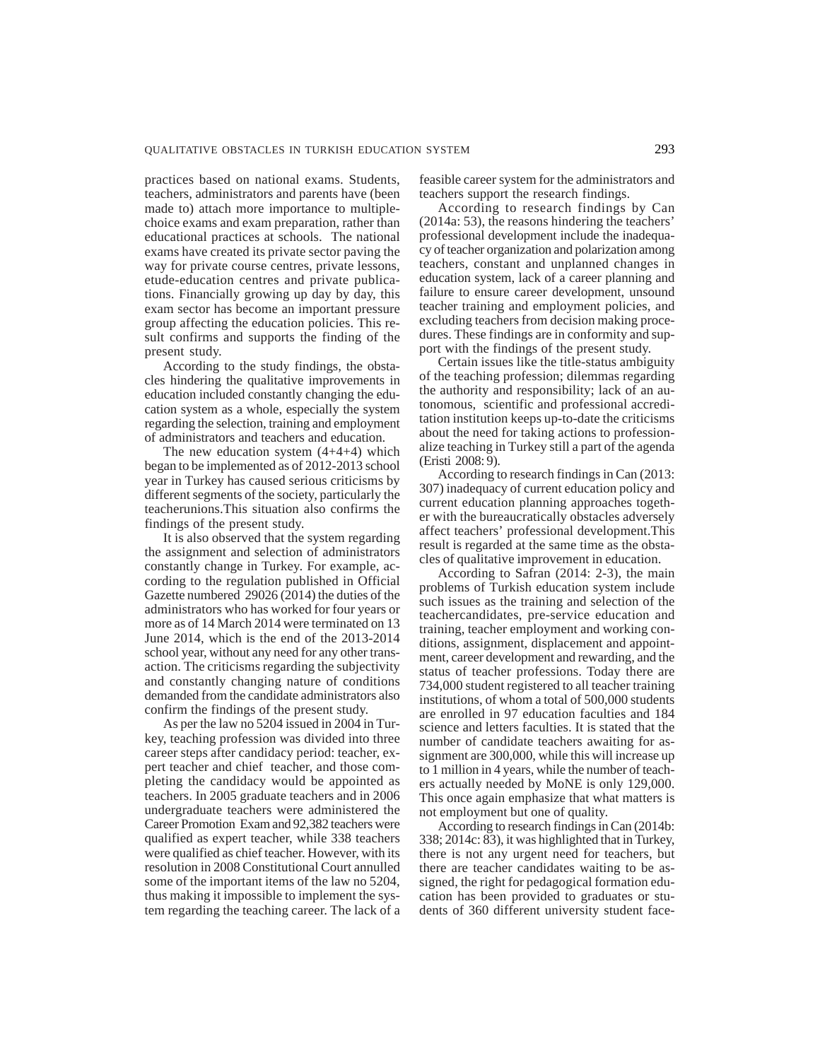practices based on national exams. Students, teachers, administrators and parents have (been made to) attach more importance to multiplechoice exams and exam preparation, rather than educational practices at schools. The national exams have created its private sector paving the way for private course centres, private lessons, etude-education centres and private publications. Financially growing up day by day, this exam sector has become an important pressure group affecting the education policies. This result confirms and supports the finding of the present study.

According to the study findings, the obstacles hindering the qualitative improvements in education included constantly changing the education system as a whole, especially the system regarding the selection, training and employment of administrators and teachers and education.

The new education system (4+4+4) which began to be implemented as of 2012-2013 school year in Turkey has caused serious criticisms by different segments of the society, particularly the teacherunions.This situation also confirms the findings of the present study.

It is also observed that the system regarding the assignment and selection of administrators constantly change in Turkey. For example, according to the regulation published in Official Gazette numbered 29026 (2014) the duties of the administrators who has worked for four years or more as of 14 March 2014 were terminated on 13 June 2014, which is the end of the 2013-2014 school year, without any need for any other transaction. The criticisms regarding the subjectivity and constantly changing nature of conditions demanded from the candidate administrators also confirm the findings of the present study.

As per the law no 5204 issued in 2004 in Turkey, teaching profession was divided into three career steps after candidacy period: teacher, expert teacher and chief teacher, and those completing the candidacy would be appointed as teachers. In 2005 graduate teachers and in 2006 undergraduate teachers were administered the Career Promotion Exam and 92,382 teachers were qualified as expert teacher, while 338 teachers were qualified as chief teacher. However, with its resolution in 2008 Constitutional Court annulled some of the important items of the law no 5204, thus making it impossible to implement the system regarding the teaching career. The lack of a feasible career system for the administrators and teachers support the research findings.

According to research findings by Can (2014a: 53), the reasons hindering the teachers' professional development include the inadequacy of teacher organization and polarization among teachers, constant and unplanned changes in education system, lack of a career planning and failure to ensure career development, unsound teacher training and employment policies, and excluding teachers from decision making procedures. These findings are in conformity and support with the findings of the present study.

Certain issues like the title-status ambiguity of the teaching profession; dilemmas regarding the authority and responsibility; lack of an autonomous, scientific and professional accreditation institution keeps up-to-date the criticisms about the need for taking actions to professionalize teaching in Turkey still a part of the agenda (Eristi 2008: 9).

According to research findings in Can (2013: 307) inadequacy of current education policy and current education planning approaches together with the bureaucratically obstacles adversely affect teachers' professional development.This result is regarded at the same time as the obstacles of qualitative improvement in education.

According to Safran (2014: 2-3), the main problems of Turkish education system include such issues as the training and selection of the teachercandidates, pre-service education and training, teacher employment and working conditions, assignment, displacement and appointment, career development and rewarding, and the status of teacher professions. Today there are 734,000 student registered to all teacher training institutions, of whom a total of 500,000 students are enrolled in 97 education faculties and 184 science and letters faculties. It is stated that the number of candidate teachers awaiting for assignment are 300,000, while this will increase up to 1 million in 4 years, while the number of teachers actually needed by MoNE is only 129,000. This once again emphasize that what matters is not employment but one of quality.

According to research findings in Can (2014b: 338; 2014c: 83), it was highlighted that in Turkey, there is not any urgent need for teachers, but there are teacher candidates waiting to be assigned, the right for pedagogical formation education has been provided to graduates or students of 360 different university student face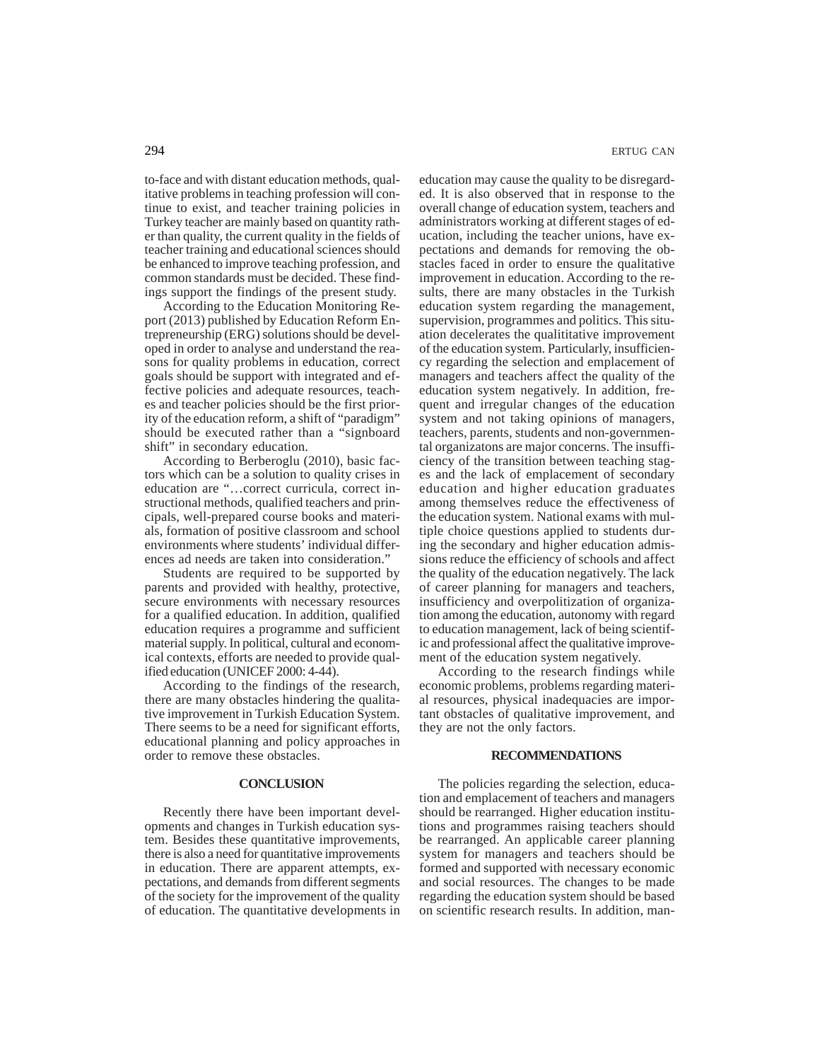to-face and with distant education methods, qualitative problems in teaching profession will continue to exist, and teacher training policies in Turkey teacher are mainly based on quantity rather than quality, the current quality in the fields of teacher training and educational sciences should be enhanced to improve teaching profession, and common standards must be decided. These findings support the findings of the present study.

According to the Education Monitoring Report (2013) published by Education Reform Entrepreneurship (ERG) solutions should be developed in order to analyse and understand the reasons for quality problems in education, correct goals should be support with integrated and effective policies and adequate resources, teaches and teacher policies should be the first priority of the education reform, a shift of "paradigm" should be executed rather than a "signboard shift" in secondary education.

According to Berberoglu (2010), basic factors which can be a solution to quality crises in education are "…correct curricula, correct instructional methods, qualified teachers and principals, well-prepared course books and materials, formation of positive classroom and school environments where students' individual differences ad needs are taken into consideration."

Students are required to be supported by parents and provided with healthy, protective, secure environments with necessary resources for a qualified education. In addition, qualified education requires a programme and sufficient material supply. In political, cultural and economical contexts, efforts are needed to provide qualified education (UNICEF 2000: 4-44).

According to the findings of the research, there are many obstacles hindering the qualitative improvement in Turkish Education System. There seems to be a need for significant efforts, educational planning and policy approaches in order to remove these obstacles.

# **CONCLUSION**

Recently there have been important developments and changes in Turkish education system. Besides these quantitative improvements, there is also a need for quantitative improvements in education. There are apparent attempts, expectations, and demands from different segments of the society for the improvement of the quality of education. The quantitative developments in education may cause the quality to be disregarded. It is also observed that in response to the overall change of education system, teachers and administrators working at different stages of education, including the teacher unions, have expectations and demands for removing the obstacles faced in order to ensure the qualitative improvement in education. According to the results, there are many obstacles in the Turkish education system regarding the management, supervision, programmes and politics. This situation decelerates the qualititative improvement of the education system. Particularly, insufficiency regarding the selection and emplacement of managers and teachers affect the quality of the education system negatively. In addition, frequent and irregular changes of the education system and not taking opinions of managers, teachers, parents, students and non-governmental organizatons are major concerns. The insufficiency of the transition between teaching stages and the lack of emplacement of secondary education and higher education graduates among themselves reduce the effectiveness of the education system. National exams with multiple choice questions applied to students during the secondary and higher education admissions reduce the efficiency of schools and affect the quality of the education negatively. The lack of career planning for managers and teachers, insufficiency and overpolitization of organization among the education, autonomy with regard to education management, lack of being scientific and professional affect the qualitative improvement of the education system negatively.

According to the research findings while economic problems, problems regarding material resources, physical inadequacies are important obstacles of qualitative improvement, and they are not the only factors.

### **RECOMMENDATIONS**

The policies regarding the selection, education and emplacement of teachers and managers should be rearranged. Higher education institutions and programmes raising teachers should be rearranged. An applicable career planning system for managers and teachers should be formed and supported with necessary economic and social resources. The changes to be made regarding the education system should be based on scientific research results. In addition, man-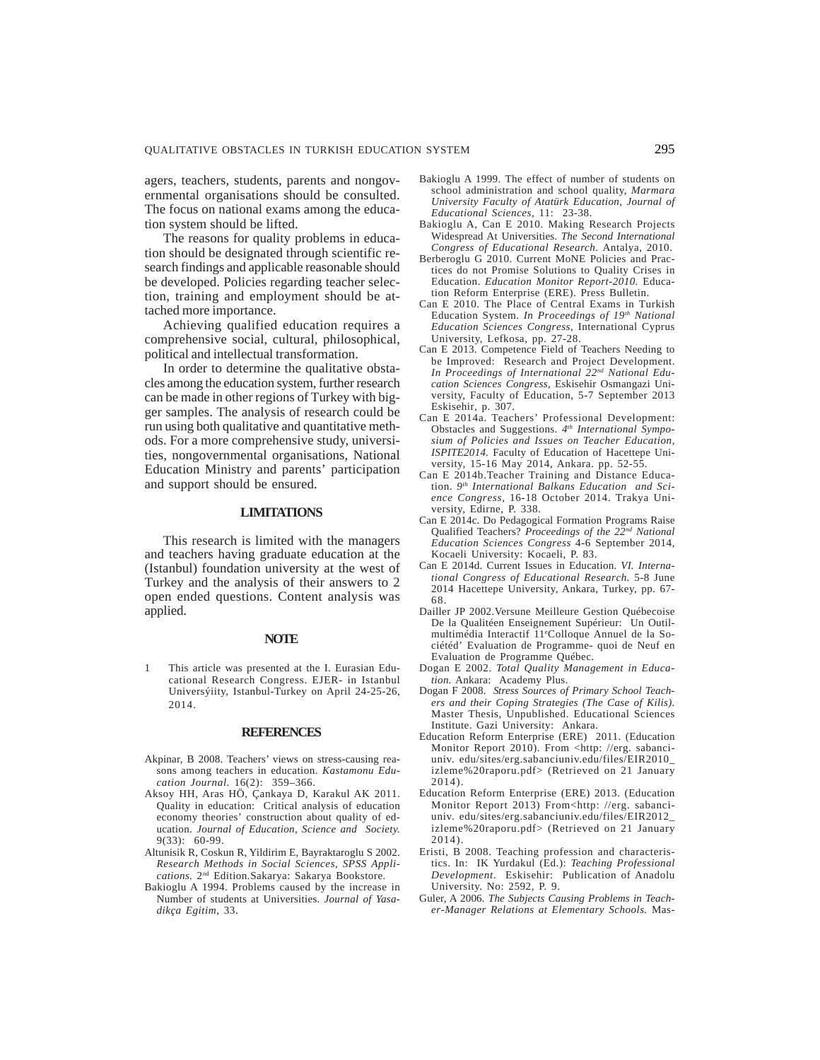agers, teachers, students, parents and nongovernmental organisations should be consulted. The focus on national exams among the education system should be lifted.

The reasons for quality problems in education should be designated through scientific research findings and applicable reasonable should be developed. Policies regarding teacher selection, training and employment should be attached more importance.

Achieving qualified education requires a comprehensive social, cultural, philosophical, political and intellectual transformation.

In order to determine the qualitative obstacles among the education system, further research can be made in other regions of Turkey with bigger samples. The analysis of research could be run using both qualitative and quantitative methods. For a more comprehensive study, universities, nongovernmental organisations, National Education Ministry and parents' participation and support should be ensured.

# **LIMITATIONS**

This research is limited with the managers and teachers having graduate education at the (Istanbul) foundation university at the west of Turkey and the analysis of their answers to 2 open ended questions. Content analysis was applied.

### **NOTE**

1 This article was presented at the I. Eurasian Educational Research Congress. EJER- in Istanbul Universýiity, Istanbul-Turkey on April 24-25-26, 2014.

#### **REFERENCES**

- Akpinar, B 2008. Teachers' views on stress-causing reasons among teachers in education. *Kastamonu Education Journal.* 16(2): 359–366.
- Aksoy HH, Aras HÖ, Çankaya D, Karakul AK 2011. Quality in education: Critical analysis of education economy theories' construction about quality of education. *Journal of Education, Science and Society.* 9(33): 60-99.
- Altunisik R, Coskun R, Yildirim E, Bayraktaroglu S 2002. *Research Methods in Social Sciences, SPSS Applications.* 2nd Edition*.*Sakarya: Sakarya Bookstore.
- Bakioglu A 1994. Problems caused by the increase in Number of students at Universities. *Journal of Yasadikça Egitim*, 33.
- Bakioglu A 1999. The effect of number of students on school administration and school quality, *Marmara University Faculty of Atatürk Education, Journal of Educational Sciences,* 11: 23-38.
- Bakioglu A, Can E 2010. Making Research Projects Widespread At Universities. *The Second International Congress of Educational Research.* Antalya, 2010.
- Berberoglu G 2010. Current MoNE Policies and Practices do not Promise Solutions to Quality Crises in Education. *Education Monitor Report-2010.* Education Reform Enterprise (ERE). Press Bulletin.
- Can E 2010. The Place of Central Exams in Turkish Education System. *In Proceedings of 19th National Education Sciences Congress,* International Cyprus University, Lefkosa, pp. 27-28.
- Can E 2013. Competence Field of Teachers Needing to be Improved: Research and Project Development. *In Proceedings of International 22nd National Education Sciences Congress,* Eskisehir Osmangazi University, Faculty of Education, 5-7 September 2013 Eskisehir, p. 307.
- Can E 2014a. Teachers' Professional Development: Obstacles and Suggestions. *4th International Symposium of Policies and Issues on Teacher Education, ISPITE2014.* Faculty of Education of Hacettepe University, 15-16 May 2014, Ankara. pp. 52-55.
- Can E 2014b.Teacher Training and Distance Education. *9th International Balkans Education and Science Congress,* 16-18 October 2014. Trakya University, Edirne, P. 338.
- Can E 2014c. Do Pedagogical Formation Programs Raise Qualified Teachers? *Proceedings of the 22nd National Education Sciences Congress* 4-6 September 2014, Kocaeli University: Kocaeli, P. 83.
- Can E 2014d. Current Issues in Education. *VI. International Congress of Educational Research.* 5-8 June 2014 Hacettepe University, Ankara, Turkey, pp. 67- 68.
- Dailler JP 2002.Versune Meilleure Gestion Québecoise De la Qualitéen Enseignement Supérieur: Un Outilmultimédia Interactif 11e Colloque Annuel de la Sociétéd' Evaluation de Programme- quoi de Neuf en Evaluation de Programme Québec.
- Dogan E 2002. *Total Quality Management in Education.* Ankara: Academy Plus.
- Dogan F 2008. *Stress Sources of Primary School Teachers and their Coping Strategies (The Case of Kilis).* Master Thesis, Unpublished. Educational Sciences Institute. Gazi University: Ankara.
- Education Reform Enterprise (ERE) 2011. (Education Monitor Report 2010). From <http: //erg. sabanciuniv. edu/sites/erg.sabanciuniv.edu/files/EIR2010\_ izleme%20raporu.pdf> (Retrieved on 21 January 2014).
- Education Reform Enterprise (ERE) 2013. (Education Monitor Report 2013) From<http: //erg. sabanciuniv. edu/sites/erg.sabanciuniv.edu/files/EIR2012\_ izleme%20raporu.pdf> (Retrieved on 21 January 2014).
- Eristi, B 2008. Teaching profession and characteristics. In: IK Yurdakul (Ed.): *Teaching Professional Development*. Eskisehir: Publication of Anadolu University. No: 2592, P. 9.
- Guler, A 2006*. The Subjects Causing Problems in Teacher-Manager Relations at Elementary Schools.* Mas-